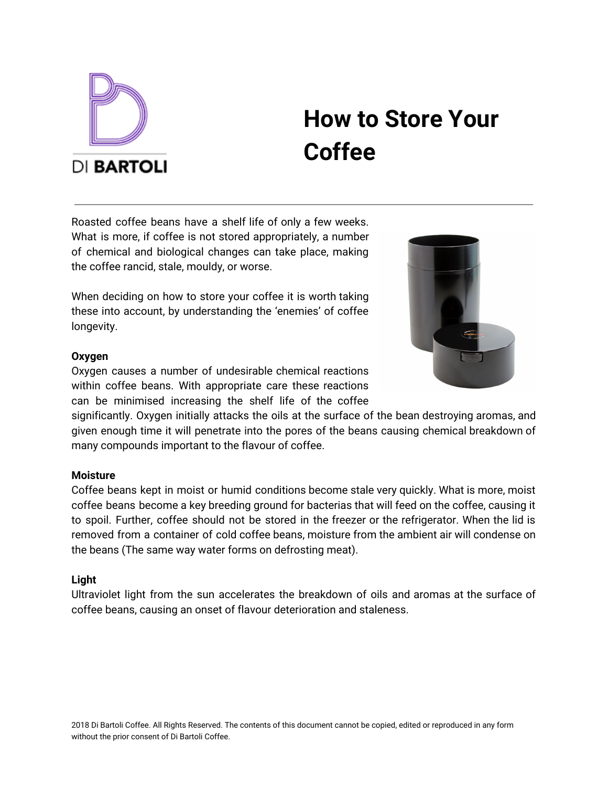

# **How to Store Your Coffee**

Roasted coffee beans have a shelf life of only a few weeks. What is more, if coffee is not stored appropriately, a number of chemical and biological changes can take place, making the coffee rancid, stale, mouldy, or worse.

When deciding on how to store your coffee it is worth taking these into account, by understanding the 'enemies' of coffee longevity.



Oxygen causes a number of undesirable chemical reactions within coffee beans. With appropriate care these reactions can be minimised increasing the shelf life of the coffee

significantly. Oxygen initially attacks the oils at the surface of the bean destroying aromas, and given enough time it will penetrate into the pores of the beans causing chemical breakdown of many compounds important to the flavour of coffee.

## **Moisture**

Coffee beans kept in moist or humid conditions become stale very quickly. What is more, moist coffee beans become a key breeding ground for bacterias that will feed on the coffee, causing it to spoil. Further, coffee should not be stored in the freezer or the refrigerator. When the lid is removed from a container of cold coffee beans, moisture from the ambient air will condense on the beans (The same way water forms on defrosting meat).

### **Light**

Ultraviolet light from the sun accelerates the breakdown of oils and aromas at the surface of coffee beans, causing an onset of flavour deterioration and staleness.